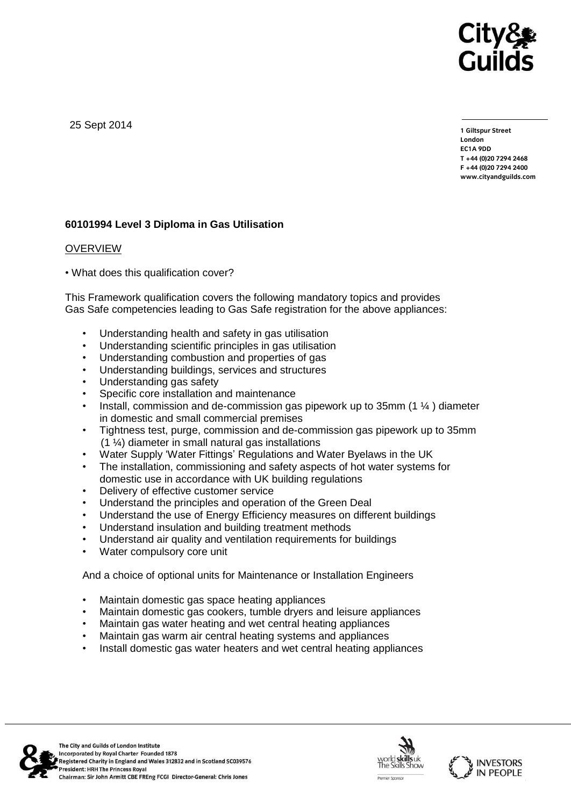

25 Sept 2014

**1 Giltspur Street EC1A 9DD** T +44 (0) 20 7 294 2468 **T +44 (0)20 7294 246[8](http://www.cityandguilds.com/) F +44 (0)20 7294 2400 [www.cityandguilds.com](http://www.cityandguilds.com/)**

# **60101994 Level 3 Diploma in Gas Utilisation**

### OVERVIEW

• What does this qualification cover?

This Framework qualification covers the following mandatory topics and provides Gas Safe competencies leading to Gas Safe registration for the above appliances:

- Understanding health and safety in gas utilisation
- Understanding scientific principles in gas utilisation
- Understanding combustion and properties of gas
- Understanding buildings, services and structures
- Understanding gas safety
- Specific core installation and maintenance
- Install, commission and de-commission gas pipework up to 35mm (1 ¼ ) diameter in domestic and small commercial premises
- Tightness test, purge, commission and de-commission gas pipework up to 35mm (1 ¼) diameter in small natural gas installations
- Water Supply 'Water Fittings' Regulations and Water Byelaws in the UK
- The installation, commissioning and safety aspects of hot water systems for domestic use in accordance with UK building regulations
- Delivery of effective customer service
- Understand the principles and operation of the Green Deal
- Understand the use of Energy Efficiency measures on different buildings
- Understand insulation and building treatment methods
- Understand air quality and ventilation requirements for buildings
- Water compulsory core unit

And a choice of optional units for Maintenance or Installation Engineers

- Maintain domestic gas space heating appliances
- Maintain domestic gas cookers, tumble dryers and leisure appliances
- Maintain gas water heating and wet central heating appliances
- Maintain gas warm air central heating systems and appliances
- Install domestic gas water heaters and wet central heating appliances



The City and Guilds of London Institute Incorporated by Royal Charter Founded 1878 Registered Charity in England and Wales 312832 and in Scotland SC039576 President: HRH The Princess Royal Chairman: Sir John Armitt CBE FREng FCGI Director-General: Chris Jones